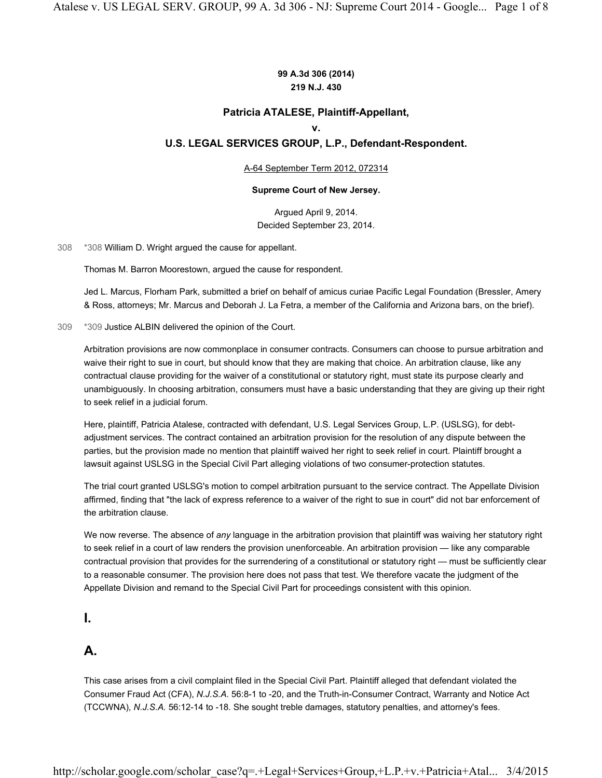### **99 A.3d 306 (2014) 219 N.J. 430**

### **Patricia ATALESE, Plaintiff-Appellant,**

#### **v.**

### **U.S. LEGAL SERVICES GROUP, L.P., Defendant-Respondent.**

#### A-64 September Term 2012, 072314

#### **Supreme Court of New Jersey.**

Argued April 9, 2014. Decided September 23, 2014.

308 \*308 William D. Wright argued the cause for appellant.

Thomas M. Barron Moorestown, argued the cause for respondent.

Jed L. Marcus, Florham Park, submitted a brief on behalf of amicus curiae Pacific Legal Foundation (Bressler, Amery & Ross, attorneys; Mr. Marcus and Deborah J. La Fetra, a member of the California and Arizona bars, on the brief).

#### 309 \*309 Justice ALBIN delivered the opinion of the Court.

Arbitration provisions are now commonplace in consumer contracts. Consumers can choose to pursue arbitration and waive their right to sue in court, but should know that they are making that choice. An arbitration clause, like any contractual clause providing for the waiver of a constitutional or statutory right, must state its purpose clearly and unambiguously. In choosing arbitration, consumers must have a basic understanding that they are giving up their right to seek relief in a judicial forum.

Here, plaintiff, Patricia Atalese, contracted with defendant, U.S. Legal Services Group, L.P. (USLSG), for debtadjustment services. The contract contained an arbitration provision for the resolution of any dispute between the parties, but the provision made no mention that plaintiff waived her right to seek relief in court. Plaintiff brought a lawsuit against USLSG in the Special Civil Part alleging violations of two consumer-protection statutes.

The trial court granted USLSG's motion to compel arbitration pursuant to the service contract. The Appellate Division affirmed, finding that "the lack of express reference to a waiver of the right to sue in court" did not bar enforcement of the arbitration clause.

We now reverse. The absence of *any* language in the arbitration provision that plaintiff was waiving her statutory right to seek relief in a court of law renders the provision unenforceable. An arbitration provision — like any comparable contractual provision that provides for the surrendering of a constitutional or statutory right — must be sufficiently clear to a reasonable consumer. The provision here does not pass that test. We therefore vacate the judgment of the Appellate Division and remand to the Special Civil Part for proceedings consistent with this opinion.

### **I.**

## **A.**

This case arises from a civil complaint filed in the Special Civil Part. Plaintiff alleged that defendant violated the Consumer Fraud Act (CFA), *N.J.S.A.* 56:8-1 to -20, and the Truth-in-Consumer Contract, Warranty and Notice Act (TCCWNA), *N.J.S.A.* 56:12-14 to -18. She sought treble damages, statutory penalties, and attorney's fees.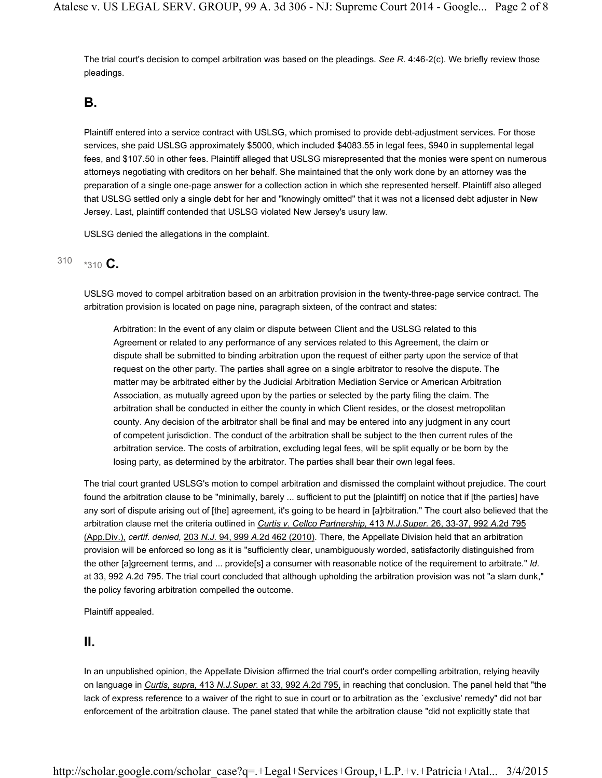The trial court's decision to compel arbitration was based on the pleadings. *See R.* 4:46-2(c). We briefly review those pleadings.

## **B.**

Plaintiff entered into a service contract with USLSG, which promised to provide debt-adjustment services. For those services, she paid USLSG approximately \$5000, which included \$4083.55 in legal fees, \$940 in supplemental legal fees, and \$107.50 in other fees. Plaintiff alleged that USLSG misrepresented that the monies were spent on numerous attorneys negotiating with creditors on her behalf. She maintained that the only work done by an attorney was the preparation of a single one-page answer for a collection action in which she represented herself. Plaintiff also alleged that USLSG settled only a single debt for her and "knowingly omitted" that it was not a licensed debt adjuster in New Jersey. Last, plaintiff contended that USLSG violated New Jersey's usury law.

USLSG denied the allegations in the complaint.

## $310 \times 310$  **C**.

USLSG moved to compel arbitration based on an arbitration provision in the twenty-three-page service contract. The arbitration provision is located on page nine, paragraph sixteen, of the contract and states:

Arbitration: In the event of any claim or dispute between Client and the USLSG related to this Agreement or related to any performance of any services related to this Agreement, the claim or dispute shall be submitted to binding arbitration upon the request of either party upon the service of that request on the other party. The parties shall agree on a single arbitrator to resolve the dispute. The matter may be arbitrated either by the Judicial Arbitration Mediation Service or American Arbitration Association, as mutually agreed upon by the parties or selected by the party filing the claim. The arbitration shall be conducted in either the county in which Client resides, or the closest metropolitan county. Any decision of the arbitrator shall be final and may be entered into any judgment in any court of competent jurisdiction. The conduct of the arbitration shall be subject to the then current rules of the arbitration service. The costs of arbitration, excluding legal fees, will be split equally or be born by the losing party, as determined by the arbitrator. The parties shall bear their own legal fees.

The trial court granted USLSG's motion to compel arbitration and dismissed the complaint without prejudice. The court found the arbitration clause to be "minimally, barely ... sufficient to put the [plaintiff] on notice that if [the parties] have any sort of dispute arising out of [the] agreement, it's going to be heard in [a]rbitration." The court also believed that the arbitration clause met the criteria outlined in *Curtis v. Cellco Partnership,* 413 *N.J.Super.* 26, 33-37, 992 *A.*2d 795 (App.Div.), *certif. denied,* 203 *N.J.* 94, 999 *A.*2d 462 (2010). There, the Appellate Division held that an arbitration provision will be enforced so long as it is "sufficiently clear, unambiguously worded, satisfactorily distinguished from the other [a]greement terms, and ... provide[s] a consumer with reasonable notice of the requirement to arbitrate." *Id.* at 33, 992 *A.*2d 795. The trial court concluded that although upholding the arbitration provision was not "a slam dunk," the policy favoring arbitration compelled the outcome.

Plaintiff appealed.

## **II.**

In an unpublished opinion, the Appellate Division affirmed the trial court's order compelling arbitration, relying heavily on language in *Curtis, supra,* 413 *N.J.Super.* at 33, 992 *A.*2d 795, in reaching that conclusion. The panel held that "the lack of express reference to a waiver of the right to sue in court or to arbitration as the `exclusive' remedy" did not bar enforcement of the arbitration clause. The panel stated that while the arbitration clause "did not explicitly state that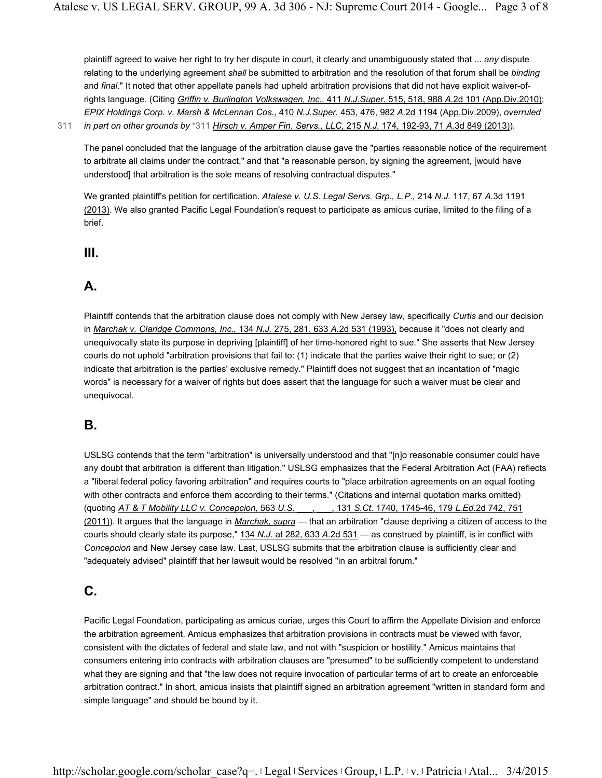plaintiff agreed to waive her right to try her dispute in court, it clearly and unambiguously stated that ... *any* dispute relating to the underlying agreement *shall* be submitted to arbitration and the resolution of that forum shall be *binding* and *final.*" It noted that other appellate panels had upheld arbitration provisions that did not have explicit waiver-ofrights language. (Citing *Griffin v. Burlington Volkswagen, Inc.,* 411 *N.J.Super.* 515, 518, 988 *A.*2d 101 (App.Div.2010); *EPIX Holdings Corp. v. Marsh & McLennan Cos.,* 410 *N.J.Super.* 453, 476, 982 *A.*2d 1194 (App.Div.2009), *overruled*  311 *in part on other grounds by* \*311 *Hirsch v. Amper Fin. Servs., LLC,* 215 *N.J.* 174, 192-93, 71 *A.*3d 849 (2013)).

The panel concluded that the language of the arbitration clause gave the "parties reasonable notice of the requirement to arbitrate all claims under the contract," and that "a reasonable person, by signing the agreement, [would have understood] that arbitration is the sole means of resolving contractual disputes."

We granted plaintiff's petition for certification. *Atalese v. U.S. Legal Servs. Grp., L.P.,* 214 *N.J.* 117, 67 *A.*3d 1191 (2013). We also granted Pacific Legal Foundation's request to participate as amicus curiae, limited to the filing of a brief.

**III.**

# **A.**

Plaintiff contends that the arbitration clause does not comply with New Jersey law, specifically *Curtis* and our decision in *Marchak v. Claridge Commons, Inc.,* 134 *N.J.* 275, 281, 633 *A.*2d 531 (1993), because it "does not clearly and unequivocally state its purpose in depriving [plaintiff] of her time-honored right to sue." She asserts that New Jersey courts do not uphold "arbitration provisions that fail to: (1) indicate that the parties waive their right to sue; or (2) indicate that arbitration is the parties' exclusive remedy." Plaintiff does not suggest that an incantation of "magic words" is necessary for a waiver of rights but does assert that the language for such a waiver must be clear and unequivocal.

# **B.**

USLSG contends that the term "arbitration" is universally understood and that "[n]o reasonable consumer could have any doubt that arbitration is different than litigation." USLSG emphasizes that the Federal Arbitration Act (FAA) reflects a "liberal federal policy favoring arbitration" and requires courts to "place arbitration agreements on an equal footing with other contracts and enforce them according to their terms." (Citations and internal quotation marks omitted) (quoting *AT & T Mobility LLC v. Concepcion,* 563 *U.S.* \_\_\_, \_\_\_, 131 *S.Ct.* 1740, 1745-46, 179 *L.Ed.*2d 742, 751 (2011)). It argues that the language in *Marchak, supra* — that an arbitration "clause depriving a citizen of access to the courts should clearly state its purpose," 134 *N.J.* at 282, 633 *A.*2d 531 — as construed by plaintiff, is in conflict with *Concepcion* and New Jersey case law. Last, USLSG submits that the arbitration clause is sufficiently clear and "adequately advised" plaintiff that her lawsuit would be resolved "in an arbitral forum."

# **C.**

Pacific Legal Foundation, participating as amicus curiae, urges this Court to affirm the Appellate Division and enforce the arbitration agreement. Amicus emphasizes that arbitration provisions in contracts must be viewed with favor, consistent with the dictates of federal and state law, and not with "suspicion or hostility." Amicus maintains that consumers entering into contracts with arbitration clauses are "presumed" to be sufficiently competent to understand what they are signing and that "the law does not require invocation of particular terms of art to create an enforceable arbitration contract." In short, amicus insists that plaintiff signed an arbitration agreement "written in standard form and simple language" and should be bound by it.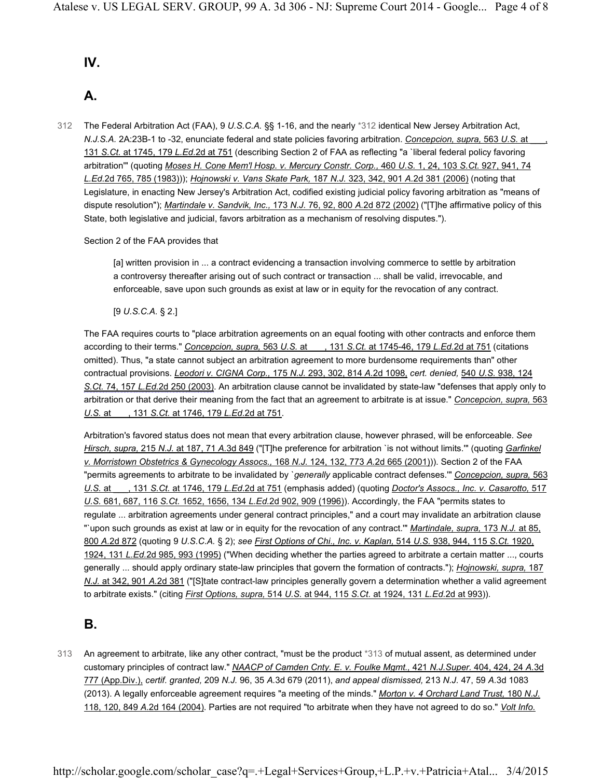## **IV.**

# **A.**

The Federal Arbitration Act (FAA), 9 *U.S.C.A.* §§ 1-16, and the nearly \*312 identical New Jersey Arbitration Act, *N.J.S.A.* 2A:23B-1 to -32, enunciate federal and state policies favoring arbitration. *Concepcion, supra,* 563 *U.S.* at \_\_\_, 131 *S.Ct.* at 1745, 179 *L.Ed.*2d at 751 (describing Section 2 of FAA as reflecting "a `liberal federal policy favoring arbitration'" (quoting *Moses H. Cone Mem'l Hosp. v. Mercury Constr. Corp.,* 460 *U.S.* 1, 24, 103 *S.Ct.* 927, 941, 74 *L.Ed.*2d 765, 785 (1983))); *Hojnowski v. Vans Skate Park,* 187 *N.J.* 323, 342, 901 *A.*2d 381 (2006) (noting that Legislature, in enacting New Jersey's Arbitration Act, codified existing judicial policy favoring arbitration as "means of dispute resolution"); *Martindale v. Sandvik, Inc.,* 173 *N.J.* 76, 92, 800 *A.*2d 872 (2002) ("[T]he affirmative policy of this State, both legislative and judicial, favors arbitration as a mechanism of resolving disputes."). 312

### Section 2 of the FAA provides that

[a] written provision in ... a contract evidencing a transaction involving commerce to settle by arbitration a controversy thereafter arising out of such contract or transaction ... shall be valid, irrevocable, and enforceable, save upon such grounds as exist at law or in equity for the revocation of any contract.

[9 *U.S.C.A.* § 2.]

The FAA requires courts to "place arbitration agreements on an equal footing with other contracts and enforce them according to their terms." *Concepcion, supra,* 563 *U.S.* at \_\_\_, 131 *S.Ct.* at 1745-46, 179 *L.Ed.*2d at 751 (citations omitted). Thus, "a state cannot subject an arbitration agreement to more burdensome requirements than" other contractual provisions. *Leodori v. CIGNA Corp.,* 175 *N.J.* 293, 302, 814 *A.*2d 1098, *cert. denied,* 540 *U.S.* 938, 124 *S.Ct.* 74, 157 *L.Ed.*2d 250 (2003). An arbitration clause cannot be invalidated by state-law "defenses that apply only to arbitration or that derive their meaning from the fact that an agreement to arbitrate is at issue." *Concepcion, supra,* 563 *U.S.* at \_\_\_, 131 *S.Ct.* at 1746, 179 *L.Ed.*2d at 751.

Arbitration's favored status does not mean that every arbitration clause, however phrased, will be enforceable. *See Hirsch, supra,* 215 *N.J.* at 187, 71 *A.*3d 849 ("[T]he preference for arbitration `is not without limits.'" (quoting *Garfinkel v. Morristown Obstetrics & Gynecology Assocs.,* 168 *N.J.* 124, 132, 773 *A.*2d 665 (2001))). Section 2 of the FAA "permits agreements to arbitrate to be invalidated by `*generally* applicable contract defenses.'" *Concepcion, supra,* 563 *U.S.* at \_\_\_, 131 *S.Ct.* at 1746, 179 *L.Ed.*2d at 751 (emphasis added) (quoting *Doctor's Assocs., Inc. v. Casarotto,* 517 *U.S.* 681, 687, 116 *S.Ct.* 1652, 1656, 134 *L.Ed.*2d 902, 909 (1996)). Accordingly, the FAA "permits states to regulate ... arbitration agreements under general contract principles," and a court may invalidate an arbitration clause "`upon such grounds as exist at law or in equity for the revocation of any contract.'" *Martindale, supra,* 173 *N.J.* at 85, 800 *A.*2d 872 (quoting 9 *U.S.C.A.* § 2); *see First Options of Chi., Inc. v. Kaplan,* 514 *U.S.* 938, 944, 115 *S.Ct.* 1920, 1924, 131 *L.Ed.*2d 985, 993 (1995) ("When deciding whether the parties agreed to arbitrate a certain matter ..., courts generally ... should apply ordinary state-law principles that govern the formation of contracts."); *Hojnowski, supra,* 187 *N.J.* at 342, 901 *A.*2d 381 ("[S]tate contract-law principles generally govern a determination whether a valid agreement to arbitrate exists." (citing *First Options, supra,* 514 *U.S.* at 944, 115 *S.Ct.* at 1924, 131 *L.Ed.*2d at 993)).

## **B.**

313 An agreement to arbitrate, like any other contract, "must be the product \*313 of mutual assent, as determined under customary principles of contract law." *NAACP of Camden Cnty. E. v. Foulke Mgmt.,* 421 *N.J.Super.* 404, 424, 24 *A.*3d 777 (App.Div.), *certif. granted,* 209 *N.J.* 96, 35 *A.*3d 679 (2011), *and appeal dismissed,* 213 *N.J.* 47, 59 *A.*3d 1083 (2013). A legally enforceable agreement requires "a meeting of the minds." *Morton v. 4 Orchard Land Trust,* 180 *N.J.* 118, 120, 849 *A.*2d 164 (2004). Parties are not required "to arbitrate when they have not agreed to do so." *Volt Info.*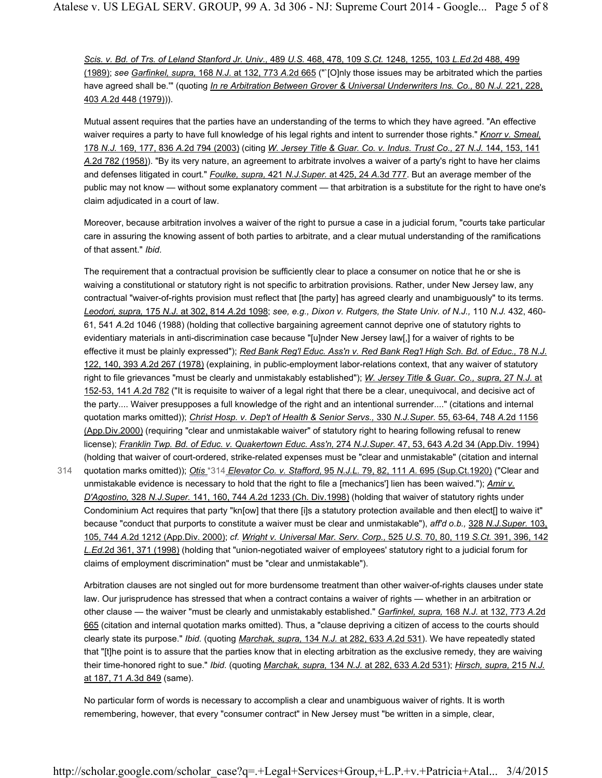*Scis. v. Bd. of Trs. of Leland Stanford Jr. Univ.,* 489 *U.S.* 468, 478, 109 *S.Ct.* 1248, 1255, 103 *L.Ed.*2d 488, 499 (1989); *see Garfinkel, supra,* 168 *N.J.* at 132, 773 *A.*2d 665 ("`[O]nly those issues may be arbitrated which the parties have agreed shall be.'" (quoting *In re Arbitration Between Grover & Universal Underwriters Ins. Co.,* 80 *N.J.* 221, 228, 403 *A.*2d 448 (1979))).

Mutual assent requires that the parties have an understanding of the terms to which they have agreed. "An effective waiver requires a party to have full knowledge of his legal rights and intent to surrender those rights." *Knorr v. Smeal,* 178 *N.J.* 169, 177, 836 *A.*2d 794 (2003) (citing *W. Jersey Title & Guar. Co. v. Indus. Trust Co.,* 27 *N.J.* 144, 153, 141 *A.*2d 782 (1958)). "By its very nature, an agreement to arbitrate involves a waiver of a party's right to have her claims and defenses litigated in court." *Foulke, supra,* 421 *N.J.Super.* at 425, 24 *A.*3d 777. But an average member of the public may not know — without some explanatory comment — that arbitration is a substitute for the right to have one's claim adjudicated in a court of law.

Moreover, because arbitration involves a waiver of the right to pursue a case in a judicial forum, "courts take particular care in assuring the knowing assent of both parties to arbitrate, and a clear mutual understanding of the ramifications of that assent." *Ibid.*

The requirement that a contractual provision be sufficiently clear to place a consumer on notice that he or she is waiving a constitutional or statutory right is not specific to arbitration provisions. Rather, under New Jersey law, any contractual "waiver-of-rights provision must reflect that [the party] has agreed clearly and unambiguously" to its terms. *Leodori, supra,* 175 *N.J.* at 302, 814 *A.*2d 1098; *see, e.g., Dixon v. Rutgers, the State Univ. of N.J.,* 110 *N.J.* 432, 460- 61, 541 *A.*2d 1046 (1988) (holding that collective bargaining agreement cannot deprive one of statutory rights to evidentiary materials in anti-discrimination case because "[u]nder New Jersey law[,] for a waiver of rights to be effective it must be plainly expressed"); *Red Bank Reg'l Educ. Ass'n v. Red Bank Reg'l High Sch. Bd. of Educ.,* 78 *N.J.* 122, 140, 393 *A.*2d 267 (1978) (explaining, in public-employment labor-relations context, that any waiver of statutory right to file grievances "must be clearly and unmistakably established"); *W. Jersey Title & Guar. Co., supra,* 27 *N.J.* at 152-53, 141 *A.*2d 782 ("It is requisite to waiver of a legal right that there be a clear, unequivocal, and decisive act of the party.... Waiver presupposes a full knowledge of the right and an intentional surrender...." (citations and internal quotation marks omitted)); *Christ Hosp. v. Dep't of Health & Senior Servs.,* 330 *N.J.Super.* 55, 63-64, 748 *A.*2d 1156 (App.Div.2000) (requiring "clear and unmistakable waiver" of statutory right to hearing following refusal to renew license); *Franklin Twp. Bd. of Educ. v. Quakertown Educ. Ass'n,* 274 *N.J.Super.* 47, 53, 643 *A.*2d 34 (App.Div. 1994) (holding that waiver of court-ordered, strike-related expenses must be "clear and unmistakable" (citation and internal quotation marks omitted)); *Otis* \*314 *Elevator Co. v. Stafford,* 95 *N.J.L.* 79, 82, 111 *A.* 695 (Sup.Ct.1920) ("Clear and unmistakable evidence is necessary to hold that the right to file a [mechanics'] lien has been waived."); *Amir v. D'Agostino,* 328 *N.J.Super.* 141, 160, 744 *A.*2d 1233 (Ch. Div.1998) (holding that waiver of statutory rights under Condominium Act requires that party "kn[ow] that there [i]s a statutory protection available and then elect[] to waive it" because "conduct that purports to constitute a waiver must be clear and unmistakable"), *aff'd o.b.,* 328 *N.J.Super.* 103, 105, 744 *A.*2d 1212 (App.Div. 2000); *cf. Wright v. Universal Mar. Serv. Corp.,* 525 *U.S.* 70, 80, 119 *S.Ct.* 391, 396, 142 *L.Ed.*2d 361, 371 (1998) (holding that "union-negotiated waiver of employees' statutory right to a judicial forum for claims of employment discrimination" must be "clear and unmistakable").

314

Arbitration clauses are not singled out for more burdensome treatment than other waiver-of-rights clauses under state law. Our jurisprudence has stressed that when a contract contains a waiver of rights — whether in an arbitration or other clause — the waiver "must be clearly and unmistakably established." *Garfinkel, supra,* 168 *N.J.* at 132, 773 *A.*2d 665 (citation and internal quotation marks omitted). Thus, a "clause depriving a citizen of access to the courts should clearly state its purpose." *Ibid.* (quoting *Marchak, supra,* 134 *N.J.* at 282, 633 *A.*2d 531). We have repeatedly stated that "[t]he point is to assure that the parties know that in electing arbitration as the exclusive remedy, they are waiving their time-honored right to sue." *Ibid.* (quoting *Marchak, supra,* 134 *N.J.* at 282, 633 *A.*2d 531); *Hirsch, supra,* 215 *N.J.* at 187, 71 *A.*3d 849 (same).

No particular form of words is necessary to accomplish a clear and unambiguous waiver of rights. It is worth remembering, however, that every "consumer contract" in New Jersey must "be written in a simple, clear,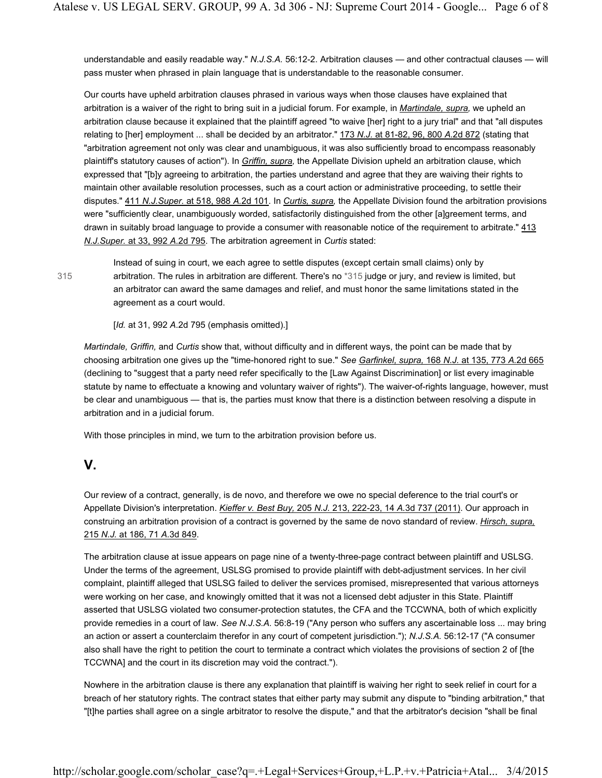understandable and easily readable way." *N.J.S.A.* 56:12-2. Arbitration clauses — and other contractual clauses — will pass muster when phrased in plain language that is understandable to the reasonable consumer.

Our courts have upheld arbitration clauses phrased in various ways when those clauses have explained that arbitration is a waiver of the right to bring suit in a judicial forum. For example, in *Martindale, supra,* we upheld an arbitration clause because it explained that the plaintiff agreed "to waive [her] right to a jury trial" and that "all disputes relating to [her] employment ... shall be decided by an arbitrator." 173 *N.J.* at 81-82, 96, 800 *A.*2d 872 (stating that "arbitration agreement not only was clear and unambiguous, it was also sufficiently broad to encompass reasonably plaintiff's statutory causes of action"). In *Griffin, supra,* the Appellate Division upheld an arbitration clause, which expressed that "[b]y agreeing to arbitration, the parties understand and agree that they are waiving their rights to maintain other available resolution processes, such as a court action or administrative proceeding, to settle their disputes." 411 *N.J.Super.* at 518, 988 *A.*2d 101. In *Curtis, supra,* the Appellate Division found the arbitration provisions were "sufficiently clear, unambiguously worded, satisfactorily distinguished from the other [a]greement terms, and drawn in suitably broad language to provide a consumer with reasonable notice of the requirement to arbitrate." 413 *N.J.Super.* at 33, 992 *A.*2d 795. The arbitration agreement in *Curtis* stated:

315

Instead of suing in court, we each agree to settle disputes (except certain small claims) only by arbitration. The rules in arbitration are different. There's no \*315 judge or jury, and review is limited, but an arbitrator can award the same damages and relief, and must honor the same limitations stated in the agreement as a court would.

[*Id.* at 31, 992 *A.*2d 795 (emphasis omitted).]

*Martindale, Griffin,* and *Curtis* show that, without difficulty and in different ways, the point can be made that by choosing arbitration one gives up the "time-honored right to sue." *See Garfinkel, supra,* 168 *N.J.* at 135, 773 *A.*2d 665 (declining to "suggest that a party need refer specifically to the [Law Against Discrimination] or list every imaginable statute by name to effectuate a knowing and voluntary waiver of rights"). The waiver-of-rights language, however, must be clear and unambiguous — that is, the parties must know that there is a distinction between resolving a dispute in arbitration and in a judicial forum.

With those principles in mind, we turn to the arbitration provision before us.

## **V.**

Our review of a contract, generally, is de novo, and therefore we owe no special deference to the trial court's or Appellate Division's interpretation. *Kieffer v. Best Buy,* 205 *N.J.* 213, 222-23, 14 *A.*3d 737 (2011). Our approach in construing an arbitration provision of a contract is governed by the same de novo standard of review. *Hirsch, supra,* 215 *N.J.* at 186, 71 *A.*3d 849.

The arbitration clause at issue appears on page nine of a twenty-three-page contract between plaintiff and USLSG. Under the terms of the agreement, USLSG promised to provide plaintiff with debt-adjustment services. In her civil complaint, plaintiff alleged that USLSG failed to deliver the services promised, misrepresented that various attorneys were working on her case, and knowingly omitted that it was not a licensed debt adjuster in this State. Plaintiff asserted that USLSG violated two consumer-protection statutes, the CFA and the TCCWNA, both of which explicitly provide remedies in a court of law. *See N.J.S.A.* 56:8-19 ("Any person who suffers any ascertainable loss ... may bring an action or assert a counterclaim therefor in any court of competent jurisdiction."); *N.J.S.A.* 56:12-17 ("A consumer also shall have the right to petition the court to terminate a contract which violates the provisions of section 2 of [the TCCWNA] and the court in its discretion may void the contract.").

Nowhere in the arbitration clause is there any explanation that plaintiff is waiving her right to seek relief in court for a breach of her statutory rights. The contract states that either party may submit any dispute to "binding arbitration," that "[t]he parties shall agree on a single arbitrator to resolve the dispute," and that the arbitrator's decision "shall be final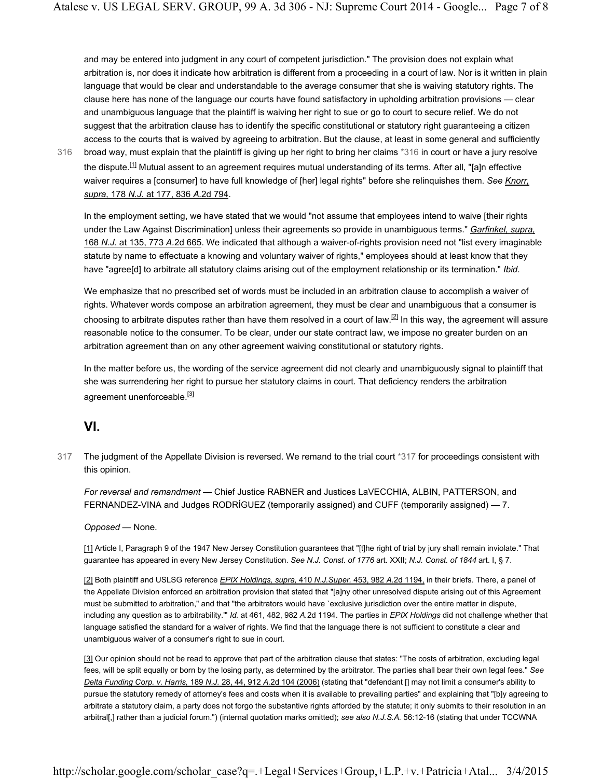and may be entered into judgment in any court of competent jurisdiction." The provision does not explain what arbitration is, nor does it indicate how arbitration is different from a proceeding in a court of law. Nor is it written in plain language that would be clear and understandable to the average consumer that she is waiving statutory rights. The clause here has none of the language our courts have found satisfactory in upholding arbitration provisions — clear and unambiguous language that the plaintiff is waiving her right to sue or go to court to secure relief. We do not suggest that the arbitration clause has to identify the specific constitutional or statutory right guaranteeing a citizen access to the courts that is waived by agreeing to arbitration. But the clause, at least in some general and sufficiently

broad way, must explain that the plaintiff is giving up her right to bring her claims \*316 in court or have a jury resolve the dispute.<sup>[1]</sup> Mutual assent to an agreement requires mutual understanding of its terms. After all, "[a]n effective waiver requires a [consumer] to have full knowledge of [her] legal rights" before she relinquishes them. *See Knorr, supra,* 178 *N.J.* at 177, 836 *A.*2d 794. 316

In the employment setting, we have stated that we would "not assume that employees intend to waive [their rights under the Law Against Discrimination] unless their agreements so provide in unambiguous terms." *Garfinkel, supra,* 168 *N.J.* at 135, 773 *A.*2d 665. We indicated that although a waiver-of-rights provision need not "list every imaginable statute by name to effectuate a knowing and voluntary waiver of rights," employees should at least know that they have "agree[d] to arbitrate all statutory claims arising out of the employment relationship or its termination." *Ibid.*

We emphasize that no prescribed set of words must be included in an arbitration clause to accomplish a waiver of rights. Whatever words compose an arbitration agreement, they must be clear and unambiguous that a consumer is choosing to arbitrate disputes rather than have them resolved in a court of law.<sup>[2]</sup> In this way, the agreement will assure reasonable notice to the consumer. To be clear, under our state contract law, we impose no greater burden on an arbitration agreement than on any other agreement waiving constitutional or statutory rights.

In the matter before us, the wording of the service agreement did not clearly and unambiguously signal to plaintiff that she was surrendering her right to pursue her statutory claims in court. That deficiency renders the arbitration agreement unenforceable.<sup>[3]</sup>

## **VI.**

The judgment of the Appellate Division is reversed. We remand to the trial court \*317 for proceedings consistent with this opinion. 317

*For reversal and remandment* — Chief Justice RABNER and Justices LaVECCHIA, ALBIN, PATTERSON, and FERNANDEZ-VINA and Judges RODRÍGUEZ (temporarily assigned) and CUFF (temporarily assigned) — 7.

### *Opposed* — None.

[1] Article I, Paragraph 9 of the 1947 New Jersey Constitution guarantees that "[t]he right of trial by jury shall remain inviolate." That guarantee has appeared in every New Jersey Constitution. *See N.J. Const. of 1776* art. XXII; *N.J. Const. of 1844* art. I, § 7.

[2] Both plaintiff and USLSG reference *EPIX Holdings, supra,* 410 *N.J.Super.* 453, 982 *A.*2d 1194, in their briefs. There, a panel of the Appellate Division enforced an arbitration provision that stated that "[a]ny other unresolved dispute arising out of this Agreement must be submitted to arbitration," and that "the arbitrators would have `exclusive jurisdiction over the entire matter in dispute, including any question as to arbitrability.'" *Id.* at 461, 482, 982 *A.*2d 1194. The parties in *EPIX Holdings* did not challenge whether that language satisfied the standard for a waiver of rights. We find that the language there is not sufficient to constitute a clear and unambiguous waiver of a consumer's right to sue in court.

[3] Our opinion should not be read to approve that part of the arbitration clause that states: "The costs of arbitration, excluding legal fees, will be split equally or born by the losing party, as determined by the arbitrator. The parties shall bear their own legal fees." *See Delta Funding Corp. v. Harris,* 189 *N.J.* 28, 44, 912 *A.*2d 104 (2006) (stating that "defendant [] may not limit a consumer's ability to pursue the statutory remedy of attorney's fees and costs when it is available to prevailing parties" and explaining that "[b]y agreeing to arbitrate a statutory claim, a party does not forgo the substantive rights afforded by the statute; it only submits to their resolution in an arbitral[,] rather than a judicial forum.") (internal quotation marks omitted); *see also N.J.S.A.* 56:12-16 (stating that under TCCWNA